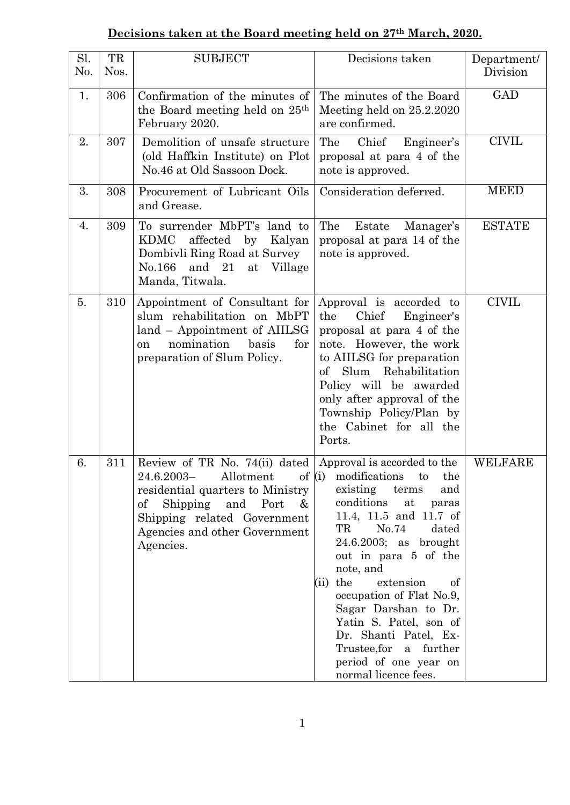## **Decisions taken at the Board meeting held on 27th March, 2020.**

| Sl.<br>No. | TR<br>Nos. | <b>SUBJECT</b>                                                                                                                                                                                                                                                                     | Decisions taken                                                                                                                                                                                                                                                                                                                                                                                        | Department/<br>Division |
|------------|------------|------------------------------------------------------------------------------------------------------------------------------------------------------------------------------------------------------------------------------------------------------------------------------------|--------------------------------------------------------------------------------------------------------------------------------------------------------------------------------------------------------------------------------------------------------------------------------------------------------------------------------------------------------------------------------------------------------|-------------------------|
| 1.         | 306        | Confirmation of the minutes of<br>the Board meeting held on 25 <sup>th</sup><br>February 2020.                                                                                                                                                                                     | The minutes of the Board<br>Meeting held on 25.2.2020<br>are confirmed.                                                                                                                                                                                                                                                                                                                                | <b>GAD</b>              |
| 2.         | 307        | Demolition of unsafe structure<br>(old Haffkin Institute) on Plot<br>No.46 at Old Sassoon Dock.                                                                                                                                                                                    | The<br>Chief<br>Engineer's<br>proposal at para 4 of the<br>note is approved.                                                                                                                                                                                                                                                                                                                           | <b>CIVIL</b>            |
| 3.         | 308        | Procurement of Lubricant Oils<br>and Grease.                                                                                                                                                                                                                                       | Consideration deferred.                                                                                                                                                                                                                                                                                                                                                                                | <b>MEED</b>             |
| 4.         | 309        | To surrender MbPT's land to<br>affected by Kalyan<br>KDMC<br>Dombivli Ring Road at Survey<br>No.166<br>and $21$<br>at Village<br>Manda, Titwala.                                                                                                                                   | The<br>Estate<br>Manager's<br>proposal at para 14 of the<br>note is approved.                                                                                                                                                                                                                                                                                                                          | <b>ESTATE</b>           |
| 5.         | 310        | Appointment of Consultant for<br>slum rehabilitation on MbPT<br>land - Appointment of AIILSG<br>nomination<br>basis<br>for<br><sub>on</sub><br>preparation of Slum Policy.                                                                                                         | Approval is accorded to<br>the<br>Chief<br>Engineer's<br>proposal at para 4 of the<br>note. However, the work<br>to AIILSG for preparation<br>of Slum Rehabilitation<br>Policy will be awarded<br>only after approval of the<br>Township Policy/Plan by<br>the Cabinet for all the<br>Ports.                                                                                                           | <b>CIVIL</b>            |
| 6.         | 311        | Review of TR No. 74(ii) dated $\vert$ Approval is accorded to the<br>24.6.2003- Allotment of $(i)$ modifications to<br>residential quarters to Ministry<br>$\mathrm{of}$<br>Shipping and Port<br>$\&$<br>Shipping related Government<br>Agencies and other Government<br>Agencies. | the<br>existing<br>terms<br>and<br>conditions<br>at<br>paras<br>11.4, 11.5 and 11.7 of<br>TR<br>No.74<br>dated<br>$24.6.2003$ ; as brought<br>out in para 5 of the<br>note, and<br>the<br>extension<br>of<br>(ii)<br>occupation of Flat No.9,<br>Sagar Darshan to Dr.<br>Yatin S. Patel, son of<br>Dr. Shanti Patel, Ex-<br>Trustee, for<br>a further<br>period of one year on<br>normal licence fees. | <b>WELFARE</b>          |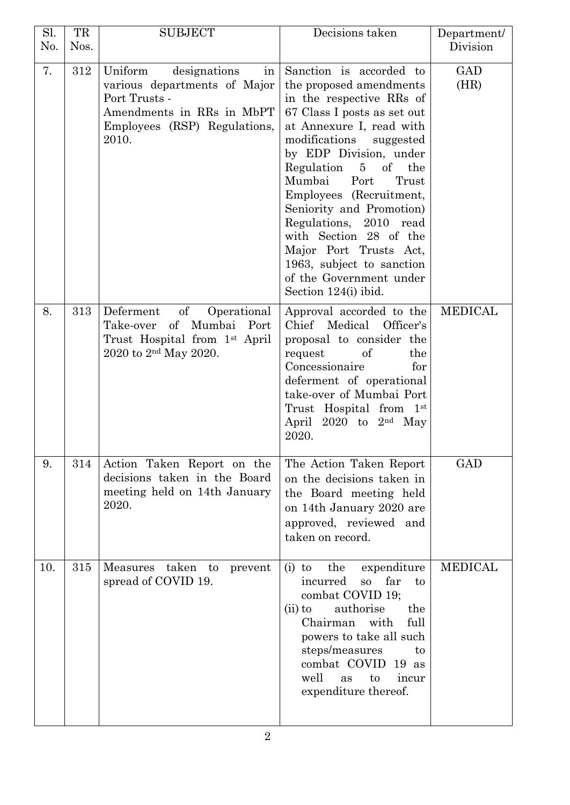| Sl.<br>No. | TR<br>Nos. | <b>SUBJECT</b>                                                                                                                                         | Decisions taken                                                                                                                                                                                                                                                                                                                                                                                                                                                                                        | Department/<br>Division |
|------------|------------|--------------------------------------------------------------------------------------------------------------------------------------------------------|--------------------------------------------------------------------------------------------------------------------------------------------------------------------------------------------------------------------------------------------------------------------------------------------------------------------------------------------------------------------------------------------------------------------------------------------------------------------------------------------------------|-------------------------|
| 7.         | 312        | Uniform<br>designations<br>in<br>various departments of Major<br>Port Trusts -<br>Amendments in RRs in MbPT<br>Employees (RSP) Regulations,<br>2010.   | Sanction is accorded to<br>the proposed amendments<br>in the respective RRs of<br>67 Class I posts as set out<br>at Annexure I, read with<br>modifications<br>suggested<br>by EDP Division, under<br>Regulation<br>$\overline{5}$<br>$\sigma f$<br>the<br>Mumbai<br>Port<br>Trust<br>Employees (Recruitment,<br>Seniority and Promotion)<br>Regulations, 2010 read<br>with Section 28 of the<br>Major Port Trusts Act,<br>1963, subject to sanction<br>of the Government under<br>Section 124(i) ibid. | GAD<br>(HR)             |
| 8.         | 313        | of<br>Operational<br>Deferment<br>$\mathrm{of}$<br>Mumbai Port<br>Take-over<br>Trust Hospital from 1 <sup>st</sup> April<br>2020 to $2^{nd}$ May 2020. | Approval accorded to the<br>Chief Medical Officer's<br>proposal to consider the<br>of<br>request<br>the<br>Concessionaire<br>for<br>deferment of operational<br>take-over of Mumbai Port<br>Trust Hospital from 1st<br>April 2020 to $2nd$ May<br>2020.                                                                                                                                                                                                                                                | <b>MEDICAL</b>          |
| 9.         | 314        | Action Taken Report on the<br>decisions taken in the Board<br>meeting held on 14th January<br>2020.                                                    | The Action Taken Report<br>on the decisions taken in<br>the Board meeting held<br>on 14th January 2020 are<br>approved, reviewed and<br>taken on record.                                                                                                                                                                                                                                                                                                                                               | <b>GAD</b>              |
| 10.        | 315        | taken<br><b>Measures</b><br>to<br>prevent<br>spread of COVID 19.                                                                                       | the<br>expenditure<br>$(i)$ to<br>far<br>incurred<br>SO <sub>3</sub><br>to<br>combat COVID 19;<br>authorise<br>the<br>$(ii)$ to<br>Chairman with<br>full<br>powers to take all such<br>steps/measures<br>to<br>combat COVID<br>19as<br>well<br>as<br>to<br>incur<br>expenditure thereof.                                                                                                                                                                                                               | <b>MEDICAL</b>          |